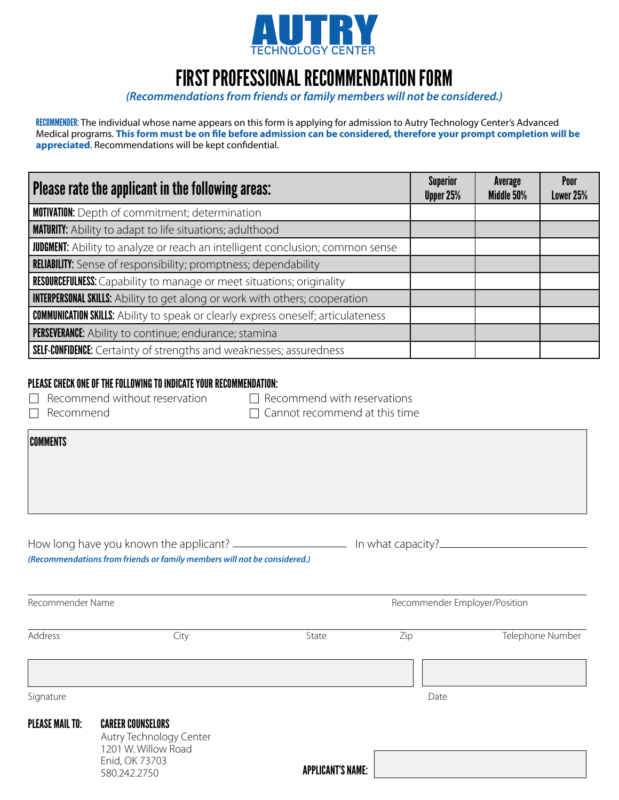

## FIRST PROFESSIONAL RECOMMENDATION FORM

### *(Recommendations from friends or family members will not be considered.)*

RECOMMENDER: The individual whose name appears on this form is applying for admission to Autry Technology Center's Advanced Medical programs. **This form must be on file before admission can be considered, therefore your prompt completion will be appreciated**. Recommendations will be kept confidential.

| Please rate the applicant in the following areas:                                        | <b>Superior</b><br>Upper 25% | Average<br>Middle 50% | Poor<br>Lower 25% |
|------------------------------------------------------------------------------------------|------------------------------|-----------------------|-------------------|
| <b>MOTIVATION:</b> Depth of commitment; determination                                    |                              |                       |                   |
| <b>MATURITY:</b> Ability to adapt to life situations; adulthood                          |                              |                       |                   |
| <b>JUDGMENT:</b> Ability to analyze or reach an intelligent conclusion; common sense     |                              |                       |                   |
| RELIABILITY: Sense of responsibility; promptness; dependability                          |                              |                       |                   |
| <b>RESOURCEFULNESS:</b> Capability to manage or meet situations; originality             |                              |                       |                   |
| <b>INTERPERSONAL SKILLS:</b> Ability to get along or work with others; cooperation       |                              |                       |                   |
| <b>COMMUNICATION SKILLS:</b> Ability to speak or clearly express oneself; articulateness |                              |                       |                   |
| PERSEVERANCE: Ability to continue; endurance; stamina                                    |                              |                       |                   |
| <b>SELF-CONFIDENCE:</b> Certainty of strengths and weaknesses; assuredness               |                              |                       |                   |

#### PLEASE CHECK ONE OF THE FOLLOWING TO INDICATE YOUR RECOMMENDATION:

| $\Box$ Recommend without reservation |
|--------------------------------------|
| Docommond                            |

on  $\Box$  Recommend with reservations Recommend Cannot recommend at this time

| <b>COMMENTS</b> |
|-----------------|
|                 |
|                 |

How long have you known the applicant? \_\_\_\_\_\_\_\_\_\_\_\_\_\_\_\_\_\_\_\_\_\_\_\_\_\_ In what capacity?\_\_\_\_\_\_\_\_\_\_\_\_\_\_\_\_\_\_\_\_\_\_\_\_\_\_\_ *(Recommendations from friends or family members will not be considered.)*

| Recommender Name       |                                                                                                              | Recommender Employer/Position |      |                  |
|------------------------|--------------------------------------------------------------------------------------------------------------|-------------------------------|------|------------------|
| Address                | City                                                                                                         | State                         | Zip  | Telephone Number |
| Signature              |                                                                                                              |                               | Date |                  |
| <b>PLEASE MAIL TO:</b> | <b>CAREER COUNSELORS</b><br>Autry Technology Center<br>1201 W. Willow Road<br>Enid, OK 73703<br>580.242.2750 | <b>APPLICANT'S NAME:</b>      |      |                  |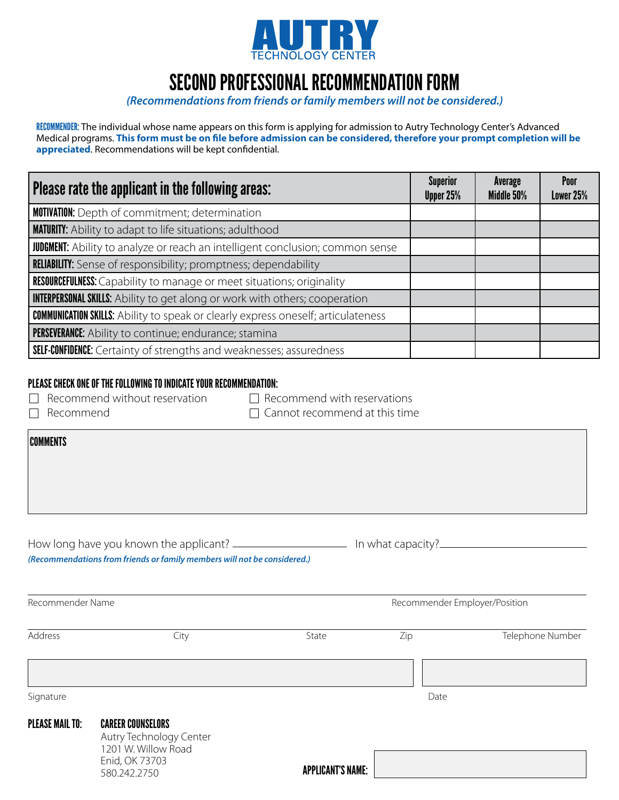

## SECOND PROFESSIONAL RECOMMENDATION FORM

### *(Recommendations from friends or family members will not be considered.)*

RECOMMENDER: The individual whose name appears on this form is applying for admission to Autry Technology Center's Advanced Medical programs. **This form must be on file before admission can be considered, therefore your prompt completion will be appreciated**. Recommendations will be kept confidential.

| Please rate the applicant in the following areas:                                        | <b>Superior</b><br>Upper 25% | Average<br>Middle 50% | Poor<br>Lower 25% |
|------------------------------------------------------------------------------------------|------------------------------|-----------------------|-------------------|
| <b>MOTIVATION:</b> Depth of commitment; determination                                    |                              |                       |                   |
| <b>MATURITY:</b> Ability to adapt to life situations; adulthood                          |                              |                       |                   |
| <b>JUDGMENT:</b> Ability to analyze or reach an intelligent conclusion; common sense     |                              |                       |                   |
| <b>RELIABILITY:</b> Sense of responsibility; promptness; dependability                   |                              |                       |                   |
| <b>RESOURCEFULNESS:</b> Capability to manage or meet situations; originality             |                              |                       |                   |
| <b>INTERPERSONAL SKILLS:</b> Ability to get along or work with others; cooperation       |                              |                       |                   |
| <b>COMMUNICATION SKILLS:</b> Ability to speak or clearly express oneself; articulateness |                              |                       |                   |
| PERSEVERANCE: Ability to continue; endurance; stamina                                    |                              |                       |                   |
| <b>SELF-CONFIDENCE:</b> Certainty of strengths and weaknesses; assuredness               |                              |                       |                   |

#### PLEASE CHECK ONE OF THE FOLLOWING TO INDICATE YOUR RECOMMENDATION:

| $\Box$ Recommend without reservation | $\Box$ Recommend with reservations   |
|--------------------------------------|--------------------------------------|
| $\Box$ Recommend                     | $\Box$ Cannot recommend at this time |

COMMENTS

| $\Box$ cannot recomments at this time |
|---------------------------------------|
|                                       |
|                                       |
|                                       |
|                                       |

| How long have you known the applicant? _                                 | In what capacity? |
|--------------------------------------------------------------------------|-------------------|
| (Recommendations from friends or family members will not be considered.) |                   |

| Recommender Name       |                                                                                                              | Recommender Employer/Position |      |                  |
|------------------------|--------------------------------------------------------------------------------------------------------------|-------------------------------|------|------------------|
| Address                | City                                                                                                         | State                         | Zip  | Telephone Number |
|                        |                                                                                                              |                               |      |                  |
| Signature              |                                                                                                              |                               | Date |                  |
| <b>PLEASE MAIL TO:</b> | <b>CAREER COUNSELORS</b><br>Autry Technology Center<br>1201 W. Willow Road<br>Enid, OK 73703<br>580.242.2750 | <b>APPLICANT'S NAME:</b>      |      |                  |